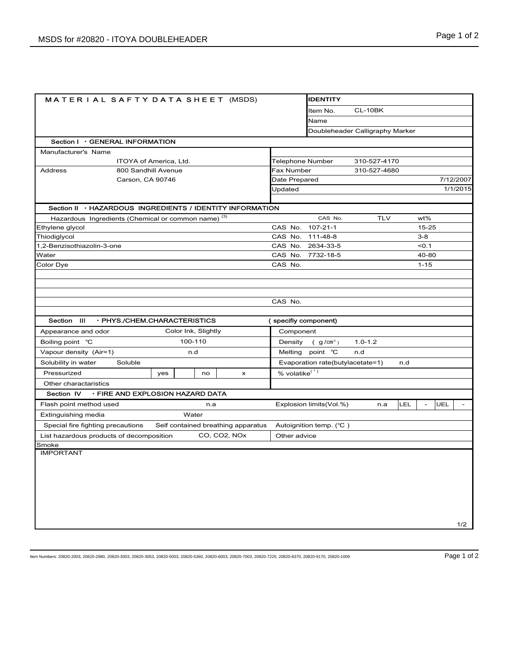| <b>MATERIAL SAFTY DATA SHEET (MSDS)</b>                        | <b>IDENTITY</b>                                       |       |                                    |                                                             |                         |                                 |         |           |          |  |
|----------------------------------------------------------------|-------------------------------------------------------|-------|------------------------------------|-------------------------------------------------------------|-------------------------|---------------------------------|---------|-----------|----------|--|
|                                                                |                                                       |       |                                    |                                                             | CL-10BK<br>ltem No.     |                                 |         |           |          |  |
|                                                                |                                                       |       |                                    | Name                                                        |                         |                                 |         |           |          |  |
|                                                                |                                                       |       |                                    |                                                             |                         | Doubleheader Calligraphy Marker |         |           |          |  |
| Section I · GENERAL INFORMATION                                |                                                       |       |                                    |                                                             |                         |                                 |         |           |          |  |
| Manufacturer's Name                                            |                                                       |       |                                    |                                                             |                         |                                 |         |           |          |  |
|                                                                | ITOYA of America, Ltd.                                |       |                                    | <b>Telephone Number</b>                                     |                         | 310-527-4170                    |         |           |          |  |
| 800 Sandhill Avenue<br>Address                                 |                                                       |       |                                    |                                                             | Fax Number              | 310-527-4680                    |         |           |          |  |
| Carson, CA 90746                                               |                                                       |       | Date Prepared                      |                                                             |                         |                                 |         | 7/12/2007 |          |  |
|                                                                |                                                       |       |                                    | Updated                                                     |                         |                                 |         |           | 1/1/2015 |  |
| Section II · HAZARDOUS INGREDIENTS / IDENTITY INFORMATION      |                                                       |       |                                    |                                                             |                         |                                 |         |           |          |  |
| Hazardous Ingredients (Chemical or common name) <sup>(3)</sup> |                                                       |       |                                    |                                                             | CAS No.                 | <b>TLV</b>                      |         | wt%       |          |  |
| Ethylene glycol                                                |                                                       |       |                                    |                                                             | $107 - 21 - 1$          |                                 |         | $15 - 25$ |          |  |
| Thiodiglycol                                                   |                                                       |       | CAS No.                            | 111-48-8                                                    |                         |                                 | $3 - 8$ |           |          |  |
| 1,2-Benzisothiazolin-3-one                                     |                                                       |       |                                    |                                                             | CAS No. 2634-33-5       |                                 |         | 50.1      |          |  |
| Water                                                          |                                                       |       |                                    |                                                             | CAS No. 7732-18-5       |                                 |         | 40-80     |          |  |
| Color Dye                                                      |                                                       |       |                                    | CAS No.                                                     |                         |                                 |         | $1 - 15$  |          |  |
|                                                                |                                                       |       |                                    |                                                             |                         |                                 |         |           |          |  |
|                                                                |                                                       |       |                                    |                                                             |                         |                                 |         |           |          |  |
|                                                                |                                                       |       |                                    |                                                             |                         |                                 |         |           |          |  |
|                                                                |                                                       |       |                                    | CAS No.                                                     |                         |                                 |         |           |          |  |
| Section III<br>· PHYS./CHEM.CHARACTERISTICS                    |                                                       |       |                                    | (specifiy component)                                        |                         |                                 |         |           |          |  |
|                                                                |                                                       |       | Component                          |                                                             |                         |                                 |         |           |          |  |
|                                                                | Color Ink, Slightly<br>Appearance and odor<br>100-110 |       |                                    | Density                                                     |                         | $1.0 - 1.2$                     |         |           |          |  |
| Boiling point °C                                               |                                                       |       |                                    | (g/cm <sup>3</sup> )                                        |                         |                                 |         |           |          |  |
|                                                                | Vapour density (Air=1)<br>n.d                         |       |                                    | Melting point °C<br>n.d<br>Evaporation rate(butylacetate=1) |                         |                                 |         |           |          |  |
| Solubility in water<br>Soluble                                 |                                                       |       |                                    |                                                             |                         |                                 | n.d     |           |          |  |
| Pressurized                                                    | yes                                                   | no    | $\boldsymbol{\mathsf{x}}$          | % volatike <sup>(*)</sup>                                   |                         |                                 |         |           |          |  |
| Other charactaristics                                          |                                                       |       |                                    |                                                             |                         |                                 |         |           |          |  |
| · FIRE AND EXPLOSION HAZARD DATA<br>Section IV                 |                                                       |       |                                    |                                                             |                         |                                 |         |           |          |  |
| Flash point method used                                        |                                                       | n.a   |                                    |                                                             | Explosion limits(Vol.%) | n.a                             | LEL     |           | UEL      |  |
| Extinguishing media                                            |                                                       | Water |                                    |                                                             |                         |                                 |         |           |          |  |
| Special fire fighting precautions                              |                                                       |       | Self contained breathing apparatus |                                                             | Autoignition temp. (°C) |                                 |         |           |          |  |
| List hazardous products of decomposition                       |                                                       |       | CO, CO2, NOx                       | Other advice                                                |                         |                                 |         |           |          |  |
| Smoke                                                          |                                                       |       |                                    |                                                             |                         |                                 |         |           |          |  |
| <b>IMPORTANT</b>                                               |                                                       |       |                                    |                                                             |                         |                                 |         |           |          |  |
|                                                                |                                                       |       |                                    |                                                             |                         |                                 |         |           |          |  |
|                                                                |                                                       |       |                                    |                                                             |                         |                                 |         |           |          |  |
|                                                                |                                                       |       |                                    |                                                             |                         |                                 |         |           |          |  |
|                                                                |                                                       |       |                                    |                                                             |                         |                                 |         |           |          |  |
|                                                                |                                                       |       |                                    |                                                             |                         |                                 |         |           |          |  |
|                                                                |                                                       |       |                                    |                                                             |                         |                                 |         |           |          |  |
|                                                                |                                                       |       |                                    |                                                             |                         |                                 |         |           | 1/2      |  |

Item Numbers: 20820-2003, 20820-2980, 20820-3003, 20820-3053, 20820-5003, 20820-5360, 20820-6003, 20820-7003, 20820-7220, 20820-8370, 20820-9170, 20820-1009 Page 1 of 2